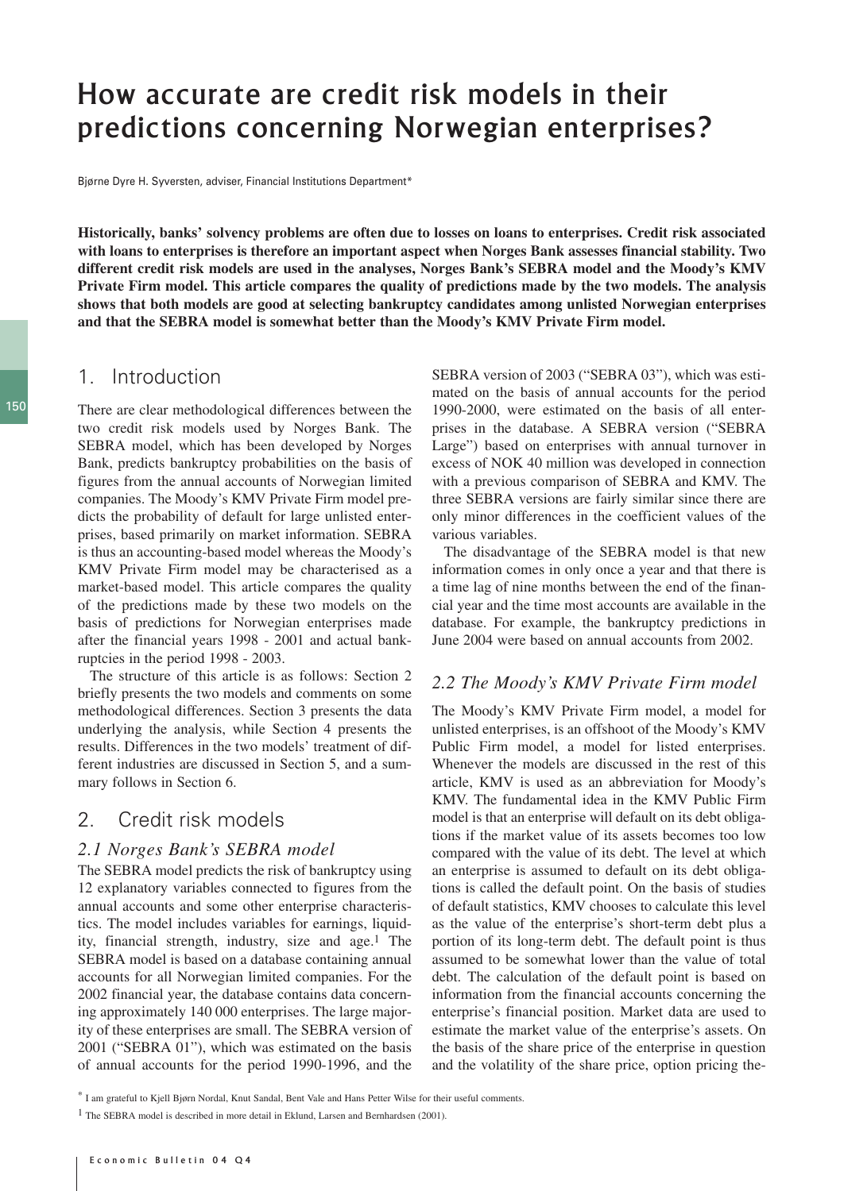# How accurate are credit risk models in their predictions concerning Norwegian enterprises?

Bjørne Dyre H. Syversten, adviser, Financial Institutions Department\*

**Historically, banks' solvency problems are often due to losses on loans to enterprises. Credit risk associated with loans to enterprises is therefore an important aspect when Norges Bank assesses financial stability. Two different credit risk models are used in the analyses, Norges Bank's SEBRA model and the Moody's KMV Private Firm model. This article compares the quality of predictions made by the two models. The analysis shows that both models are good at selecting bankruptcy candidates among unlisted Norwegian enterprises and that the SEBRA model is somewhat better than the Moody's KMV Private Firm model.**

# 1. Introduction

There are clear methodological differences between the two credit risk models used by Norges Bank. The SEBRA model, which has been developed by Norges Bank, predicts bankruptcy probabilities on the basis of figures from the annual accounts of Norwegian limited companies. The Moody's KMV Private Firm model predicts the probability of default for large unlisted enterprises, based primarily on market information. SEBRA is thus an accounting-based model whereas the Moody's KMV Private Firm model may be characterised as a market-based model. This article compares the quality of the predictions made by these two models on the basis of predictions for Norwegian enterprises made after the financial years 1998 - 2001 and actual bankruptcies in the period 1998 - 2003.

The structure of this article is as follows: Section 2 briefly presents the two models and comments on some methodological differences. Section 3 presents the data underlying the analysis, while Section 4 presents the results. Differences in the two models' treatment of different industries are discussed in Section 5, and a summary follows in Section 6.

# 2. Credit risk models

### *2.1 Norges Bank's SEBRA model*

The SEBRA model predicts the risk of bankruptcy using 12 explanatory variables connected to figures from the annual accounts and some other enterprise characteristics. The model includes variables for earnings, liquidity, financial strength, industry, size and age.1 The SEBRA model is based on a database containing annual accounts for all Norwegian limited companies. For the 2002 financial year, the database contains data concerning approximately 140 000 enterprises. The large majority of these enterprises are small. The SEBRA version of 2001 ("SEBRA 01"), which was estimated on the basis of annual accounts for the period 1990-1996, and the SEBRA version of 2003 ("SEBRA 03"), which was estimated on the basis of annual accounts for the period 1990-2000, were estimated on the basis of all enterprises in the database. A SEBRA version ("SEBRA Large") based on enterprises with annual turnover in excess of NOK 40 million was developed in connection with a previous comparison of SEBRA and KMV. The three SEBRA versions are fairly similar since there are only minor differences in the coefficient values of the various variables.

The disadvantage of the SEBRA model is that new information comes in only once a year and that there is a time lag of nine months between the end of the financial year and the time most accounts are available in the database. For example, the bankruptcy predictions in June 2004 were based on annual accounts from 2002.

#### *2.2 The Moody's KMV Private Firm model*

The Moody's KMV Private Firm model, a model for unlisted enterprises, is an offshoot of the Moody's KMV Public Firm model, a model for listed enterprises. Whenever the models are discussed in the rest of this article, KMV is used as an abbreviation for Moody's KMV. The fundamental idea in the KMV Public Firm model is that an enterprise will default on its debt obligations if the market value of its assets becomes too low compared with the value of its debt. The level at which an enterprise is assumed to default on its debt obligations is called the default point. On the basis of studies of default statistics, KMV chooses to calculate this level as the value of the enterprise's short-term debt plus a portion of its long-term debt. The default point is thus assumed to be somewhat lower than the value of total debt. The calculation of the default point is based on information from the financial accounts concerning the enterprise's financial position. Market data are used to estimate the market value of the enterprise's assets. On the basis of the share price of the enterprise in question and the volatility of the share price, option pricing the-

<sup>\*</sup> I am grateful to Kjell Bjørn Nordal, Knut Sandal, Bent Vale and Hans Petter Wilse for their useful comments.

<sup>&</sup>lt;sup>1</sup> The SEBRA model is described in more detail in Eklund, Larsen and Bernhardsen (2001).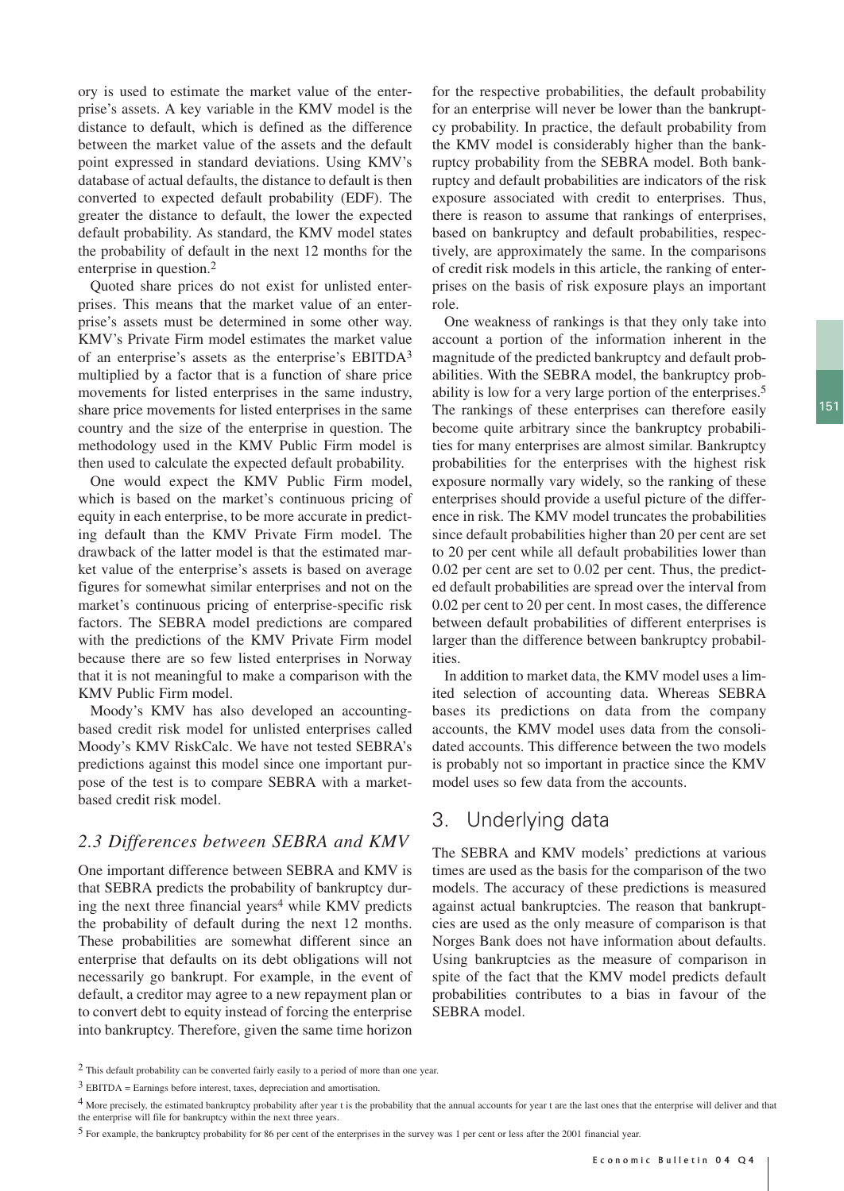ory is used to estimate the market value of the enterprise's assets. A key variable in the KMV model is the distance to default, which is defined as the difference between the market value of the assets and the default point expressed in standard deviations. Using KMV's database of actual defaults, the distance to default is then converted to expected default probability (EDF). The greater the distance to default, the lower the expected default probability. As standard, the KMV model states the probability of default in the next 12 months for the enterprise in question.2

Quoted share prices do not exist for unlisted enterprises. This means that the market value of an enterprise's assets must be determined in some other way. KMV's Private Firm model estimates the market value of an enterprise's assets as the enterprise's EBITDA3 multiplied by a factor that is a function of share price movements for listed enterprises in the same industry, share price movements for listed enterprises in the same country and the size of the enterprise in question. The methodology used in the KMV Public Firm model is then used to calculate the expected default probability.

One would expect the KMV Public Firm model, which is based on the market's continuous pricing of equity in each enterprise, to be more accurate in predicting default than the KMV Private Firm model. The drawback of the latter model is that the estimated market value of the enterprise's assets is based on average figures for somewhat similar enterprises and not on the market's continuous pricing of enterprise-specific risk factors. The SEBRA model predictions are compared with the predictions of the KMV Private Firm model because there are so few listed enterprises in Norway that it is not meaningful to make a comparison with the KMV Public Firm model.

Moody's KMV has also developed an accountingbased credit risk model for unlisted enterprises called Moody's KMV RiskCalc. We have not tested SEBRA's predictions against this model since one important purpose of the test is to compare SEBRA with a marketbased credit risk model.

### *2.3 Differences between SEBRA and KMV*

One important difference between SEBRA and KMV is that SEBRA predicts the probability of bankruptcy during the next three financial years<sup>4</sup> while KMV predicts the probability of default during the next 12 months. These probabilities are somewhat different since an enterprise that defaults on its debt obligations will not necessarily go bankrupt. For example, in the event of default, a creditor may agree to a new repayment plan or to convert debt to equity instead of forcing the enterprise into bankruptcy. Therefore, given the same time horizon for the respective probabilities, the default probability for an enterprise will never be lower than the bankruptcy probability. In practice, the default probability from the KMV model is considerably higher than the bankruptcy probability from the SEBRA model. Both bankruptcy and default probabilities are indicators of the risk exposure associated with credit to enterprises. Thus, there is reason to assume that rankings of enterprises, based on bankruptcy and default probabilities, respectively, are approximately the same. In the comparisons of credit risk models in this article, the ranking of enterprises on the basis of risk exposure plays an important role.

One weakness of rankings is that they only take into account a portion of the information inherent in the magnitude of the predicted bankruptcy and default probabilities. With the SEBRA model, the bankruptcy probability is low for a very large portion of the enterprises.5 The rankings of these enterprises can therefore easily become quite arbitrary since the bankruptcy probabilities for many enterprises are almost similar. Bankruptcy probabilities for the enterprises with the highest risk exposure normally vary widely, so the ranking of these enterprises should provide a useful picture of the difference in risk. The KMV model truncates the probabilities since default probabilities higher than 20 per cent are set to 20 per cent while all default probabilities lower than 0.02 per cent are set to 0.02 per cent. Thus, the predicted default probabilities are spread over the interval from 0.02 per cent to 20 per cent. In most cases, the difference between default probabilities of different enterprises is larger than the difference between bankruptcy probabilities.

In addition to market data, the KMV model uses a limited selection of accounting data. Whereas SEBRA bases its predictions on data from the company accounts, the KMV model uses data from the consolidated accounts. This difference between the two models is probably not so important in practice since the KMV model uses so few data from the accounts.

# 3. Underlying data

The SEBRA and KMV models' predictions at various times are used as the basis for the comparison of the two models. The accuracy of these predictions is measured against actual bankruptcies. The reason that bankruptcies are used as the only measure of comparison is that Norges Bank does not have information about defaults. Using bankruptcies as the measure of comparison in spite of the fact that the KMV model predicts default probabilities contributes to a bias in favour of the SEBRA model.

<sup>2</sup> This default probability can be converted fairly easily to a period of more than one year.

<sup>3</sup> EBITDA = Earnings before interest, taxes, depreciation and amortisation.

<sup>&</sup>lt;sup>4</sup> More precisely, the estimated bankruptcy probability after year t is the probability that the annual accounts for year t are the last ones that the enterprise will deliver and that the enterprise will file for bankruptcy within the next three years.

<sup>5</sup> For example, the bankruptcy probability for 86 per cent of the enterprises in the survey was 1 per cent or less after the 2001 financial year.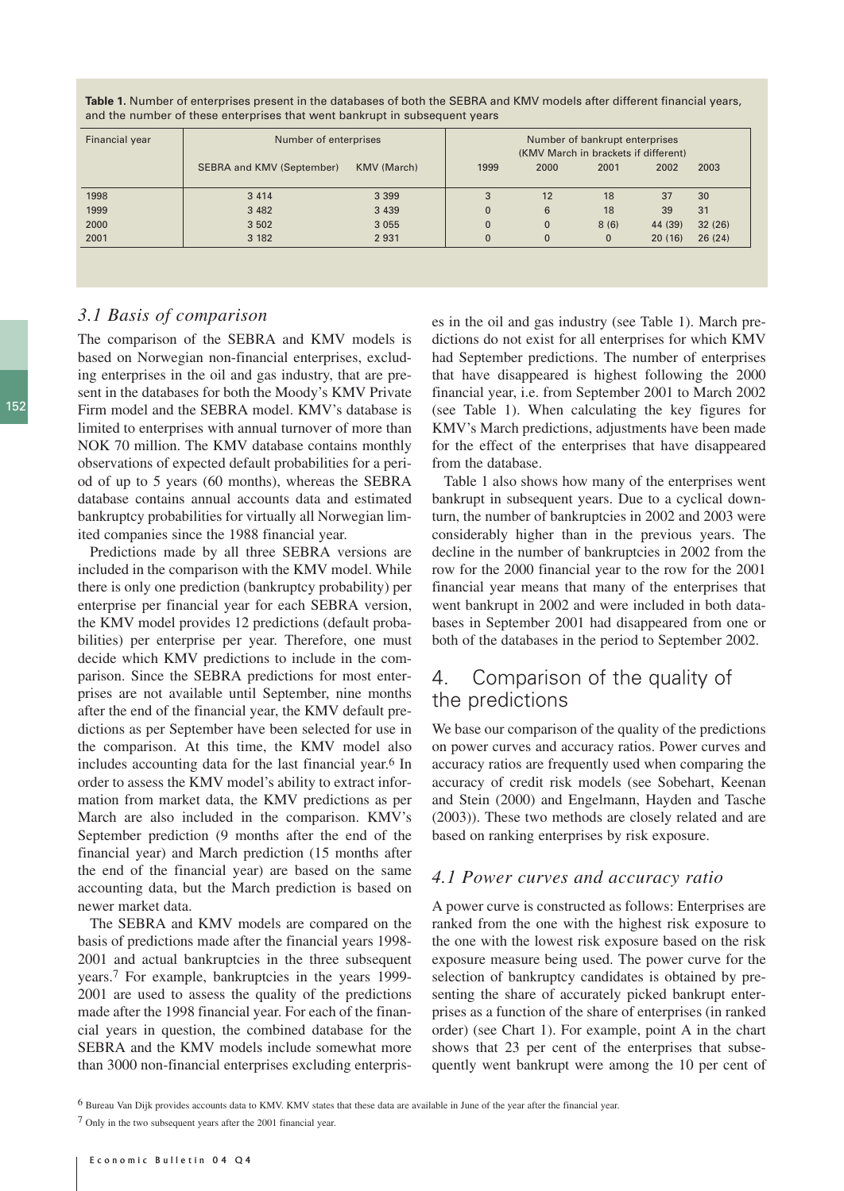**Table 1.** Number of enterprises present in the databases of both the SEBRA and KMV models after different financial years, and the number of these enterprises that went bankrupt in subsequent years

| Financial year | Number of enterprises            | Number of bankrupt enterprises<br>(KMV March in brackets if different) |          |              |              |         |        |
|----------------|----------------------------------|------------------------------------------------------------------------|----------|--------------|--------------|---------|--------|
|                | <b>SEBRA and KMV (September)</b> | KMV (March)                                                            | 1999     | 2000         | 2001         | 2002    | 2003   |
| 1998           | 3 4 1 4                          | 3 3 9 9                                                                | 3        | 12           | 18           | 37      | 30     |
| 1999           | 3 4 8 2                          | 3 4 3 9                                                                | $\Omega$ | 6            | 18           | 39      | 31     |
| 2000           | 3 5 0 2                          | 3 0 5 5                                                                | $\Omega$ | $\mathbf 0$  | 8(6)         | 44 (39) | 32(26) |
| 2001           | 3 1 8 2                          | 2 9 3 1                                                                | $\Omega$ | $\mathbf{0}$ | $\mathbf{0}$ | 20(16)  | 26(24) |

### *3.1 Basis of comparison*

The comparison of the SEBRA and KMV models is based on Norwegian non-financial enterprises, excluding enterprises in the oil and gas industry, that are present in the databases for both the Moody's KMV Private Firm model and the SEBRA model. KMV's database is limited to enterprises with annual turnover of more than NOK 70 million. The KMV database contains monthly observations of expected default probabilities for a period of up to 5 years (60 months), whereas the SEBRA database contains annual accounts data and estimated bankruptcy probabilities for virtually all Norwegian limited companies since the 1988 financial year.

Predictions made by all three SEBRA versions are included in the comparison with the KMV model. While there is only one prediction (bankruptcy probability) per enterprise per financial year for each SEBRA version, the KMV model provides 12 predictions (default probabilities) per enterprise per year. Therefore, one must decide which KMV predictions to include in the comparison. Since the SEBRA predictions for most enterprises are not available until September, nine months after the end of the financial year, the KMV default predictions as per September have been selected for use in the comparison. At this time, the KMV model also includes accounting data for the last financial year.<sup>6</sup> In order to assess the KMV model's ability to extract information from market data, the KMV predictions as per March are also included in the comparison. KMV's September prediction (9 months after the end of the financial year) and March prediction (15 months after the end of the financial year) are based on the same accounting data, but the March prediction is based on newer market data.

The SEBRA and KMV models are compared on the basis of predictions made after the financial years 1998- 2001 and actual bankruptcies in the three subsequent years.7 For example, bankruptcies in the years 1999- 2001 are used to assess the quality of the predictions made after the 1998 financial year. For each of the financial years in question, the combined database for the SEBRA and the KMV models include somewhat more than 3000 non-financial enterprises excluding enterprises in the oil and gas industry (see Table 1). March predictions do not exist for all enterprises for which KMV had September predictions. The number of enterprises that have disappeared is highest following the 2000 financial year, i.e. from September 2001 to March 2002 (see Table 1). When calculating the key figures for KMV's March predictions, adjustments have been made for the effect of the enterprises that have disappeared from the database.

Table 1 also shows how many of the enterprises went bankrupt in subsequent years. Due to a cyclical downturn, the number of bankruptcies in 2002 and 2003 were considerably higher than in the previous years. The decline in the number of bankruptcies in 2002 from the row for the 2000 financial year to the row for the 2001 financial year means that many of the enterprises that went bankrupt in 2002 and were included in both databases in September 2001 had disappeared from one or both of the databases in the period to September 2002.

# 4. Comparison of the quality of the predictions

We base our comparison of the quality of the predictions on power curves and accuracy ratios. Power curves and accuracy ratios are frequently used when comparing the accuracy of credit risk models (see Sobehart, Keenan and Stein (2000) and Engelmann, Hayden and Tasche (2003)). These two methods are closely related and are based on ranking enterprises by risk exposure.

#### *4.1 Power curves and accuracy ratio*

A power curve is constructed as follows: Enterprises are ranked from the one with the highest risk exposure to the one with the lowest risk exposure based on the risk exposure measure being used. The power curve for the selection of bankruptcy candidates is obtained by presenting the share of accurately picked bankrupt enterprises as a function of the share of enterprises (in ranked order) (see Chart 1). For example, point A in the chart shows that 23 per cent of the enterprises that subsequently went bankrupt were among the 10 per cent of

<sup>6</sup> Bureau Van Dijk provides accounts data to KMV. KMV states that these data are available in June of the year after the financial year.

<sup>7</sup> Only in the two subsequent years after the 2001 financial year.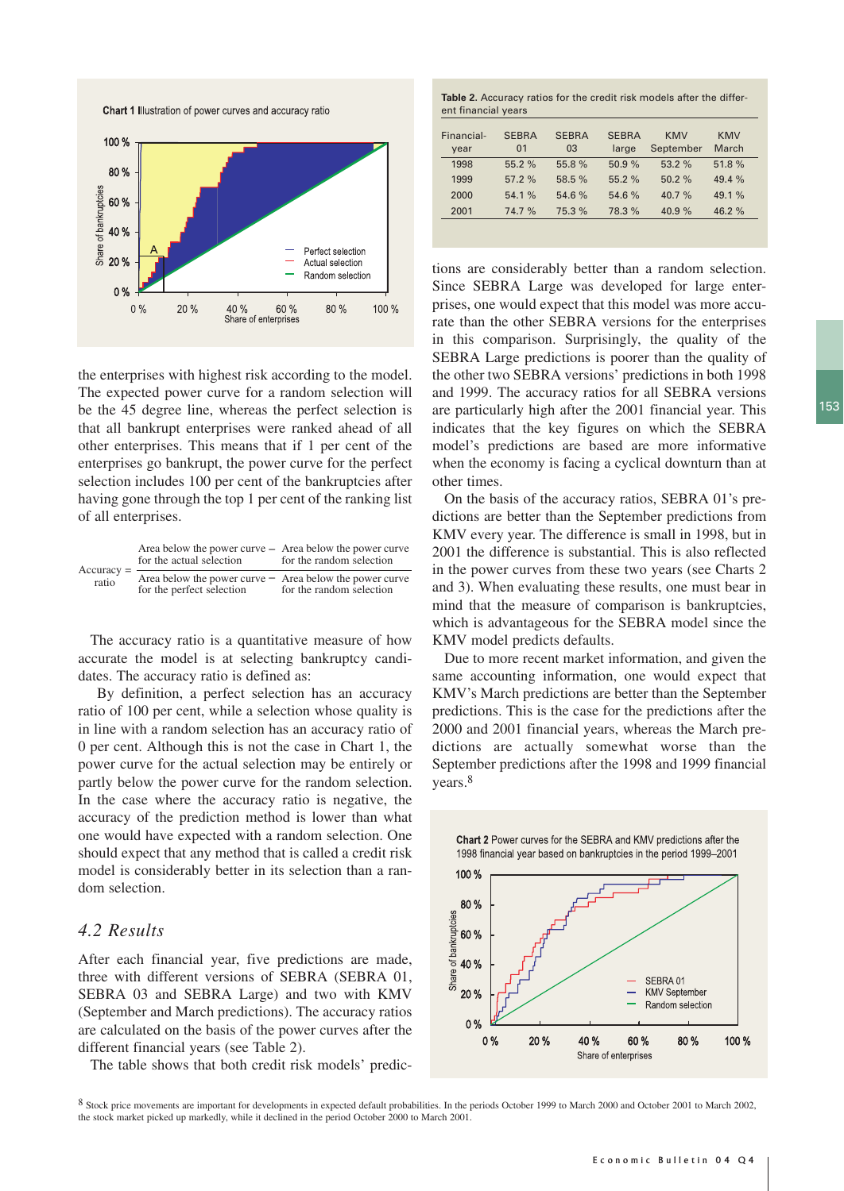Chart 1 Illustration of power curves and accuracy ratio



the enterprises with highest risk according to the model. The expected power curve for a random selection will be the 45 degree line, whereas the perfect selection is that all bankrupt enterprises were ranked ahead of all other enterprises. This means that if 1 per cent of the enterprises go bankrupt, the power curve for the perfect selection includes 100 per cent of the bankruptcies after having gone through the top 1 per cent of the ranking list of all enterprises.

|                       | Area below the power curve – Area below the power curve<br>for the actual selection    | for the random selection |
|-----------------------|----------------------------------------------------------------------------------------|--------------------------|
| $Accuracy =$<br>ratio | Area below the power curve $-$ Area below the power curve<br>for the perfect selection | for the random selection |

The accuracy ratio is a quantitative measure of how accurate the model is at selecting bankruptcy candidates. The accuracy ratio is defined as:

By definition, a perfect selection has an accuracy ratio of 100 per cent, while a selection whose quality is in line with a random selection has an accuracy ratio of 0 per cent. Although this is not the case in Chart 1, the power curve for the actual selection may be entirely or partly below the power curve for the random selection. In the case where the accuracy ratio is negative, the accuracy of the prediction method is lower than what one would have expected with a random selection. One should expect that any method that is called a credit risk model is considerably better in its selection than a random selection.

### *4.2 Results*

After each financial year, five predictions are made, three with different versions of SEBRA (SEBRA 01, SEBRA 03 and SEBRA Large) and two with KMV (September and March predictions). The accuracy ratios are calculated on the basis of the power curves after the different financial years (see Table 2).

The table shows that both credit risk models' predic-

**Table 2.** Accuracy ratios for the credit risk models after the different financial years

| Financial-<br>year | <b>SEBRA</b><br>01 | <b>SEBRA</b><br>03 | <b>SEBRA</b><br>large | KMV<br>September | <b>KMV</b><br>March |
|--------------------|--------------------|--------------------|-----------------------|------------------|---------------------|
| 1998               | 55.2 %             | 55.8%              | 50.9%                 | 53.2%            | 51.8%               |
| 1999               | 57.2%              | 58.5 %             | 55.2%                 | 50.2%            | 49.4%               |
| 2000               | 54.1%              | 54.6 %             | 54.6 %                | 40.7%            | 49.1%               |
| 2001               | 74.7 %             | 75.3 %             | 78.3 %                | 40.9%            | 46.2%               |
|                    |                    |                    |                       |                  |                     |

tions are considerably better than a random selection. Since SEBRA Large was developed for large enterprises, one would expect that this model was more accurate than the other SEBRA versions for the enterprises in this comparison. Surprisingly, the quality of the SEBRA Large predictions is poorer than the quality of the other two SEBRA versions' predictions in both 1998 and 1999. The accuracy ratios for all SEBRA versions are particularly high after the 2001 financial year. This indicates that the key figures on which the SEBRA model's predictions are based are more informative when the economy is facing a cyclical downturn than at other times.

On the basis of the accuracy ratios, SEBRA 01's predictions are better than the September predictions from KMV every year. The difference is small in 1998, but in 2001 the difference is substantial. This is also reflected in the power curves from these two years (see Charts 2 and 3). When evaluating these results, one must bear in mind that the measure of comparison is bankruptcies, which is advantageous for the SEBRA model since the KMV model predicts defaults.

Due to more recent market information, and given the same accounting information, one would expect that KMV's March predictions are better than the September predictions. This is the case for the predictions after the 2000 and 2001 financial years, whereas the March predictions are actually somewhat worse than the September predictions after the 1998 and 1999 financial years.8



8 Stock price movements are important for developments in expected default probabilities. In the periods October 1999 to March 2000 and October 2001 to March 2002, the stock market picked up markedly, while it declined in the period October 2000 to March 2001.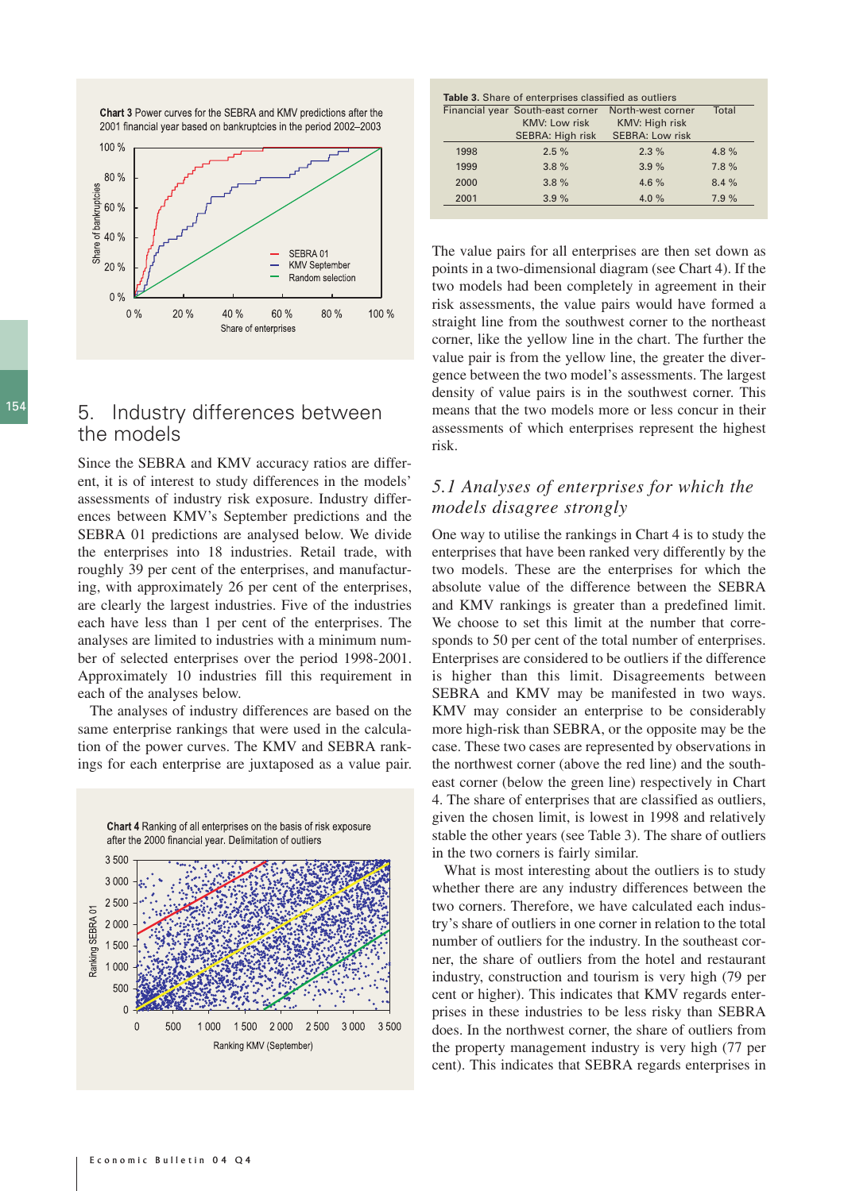

Chart 3 Power curves for the SEBRA and KMV predictions after the

# 154 5. Industry differences between the models

Since the SEBRA and KMV accuracy ratios are different, it is of interest to study differences in the models' assessments of industry risk exposure. Industry differences between KMV's September predictions and the SEBRA 01 predictions are analysed below. We divide the enterprises into 18 industries. Retail trade, with roughly 39 per cent of the enterprises, and manufacturing, with approximately 26 per cent of the enterprises, are clearly the largest industries. Five of the industries each have less than 1 per cent of the enterprises. The analyses are limited to industries with a minimum number of selected enterprises over the period 1998-2001. Approximately 10 industries fill this requirement in each of the analyses below.

The analyses of industry differences are based on the same enterprise rankings that were used in the calculation of the power curves. The KMV and SEBRA rankings for each enterprise are juxtaposed as a value pair.



|      | Financial year South-east corner | North-west corner      | Total |  |
|------|----------------------------------|------------------------|-------|--|
|      | <b>KMV: Low risk</b>             | KMV: High risk         |       |  |
|      | SEBRA: High risk                 | <b>SEBRA: Low risk</b> |       |  |
| 1998 | 2.5%                             | 2.3%                   | 4.8%  |  |
| 1999 | 3.8%                             | 3.9%                   | 7.8%  |  |
| 2000 | 3.8%                             | 4.6%                   | 8.4%  |  |
| 2001 | 3.9%                             | 4.0 $%$                | 7.9%  |  |

The value pairs for all enterprises are then set down as points in a two-dimensional diagram (see Chart 4). If the two models had been completely in agreement in their risk assessments, the value pairs would have formed a straight line from the southwest corner to the northeast corner, like the yellow line in the chart. The further the value pair is from the yellow line, the greater the divergence between the two model's assessments. The largest density of value pairs is in the southwest corner. This means that the two models more or less concur in their assessments of which enterprises represent the highest risk.

# *5.1 Analyses of enterprises for which the models disagree strongly*

One way to utilise the rankings in Chart 4 is to study the enterprises that have been ranked very differently by the two models. These are the enterprises for which the absolute value of the difference between the SEBRA and KMV rankings is greater than a predefined limit. We choose to set this limit at the number that corresponds to 50 per cent of the total number of enterprises. Enterprises are considered to be outliers if the difference is higher than this limit. Disagreements between SEBRA and KMV may be manifested in two ways. KMV may consider an enterprise to be considerably more high-risk than SEBRA, or the opposite may be the case. These two cases are represented by observations in the northwest corner (above the red line) and the southeast corner (below the green line) respectively in Chart 4. The share of enterprises that are classified as outliers, given the chosen limit, is lowest in 1998 and relatively stable the other years (see Table 3). The share of outliers in the two corners is fairly similar.

What is most interesting about the outliers is to study whether there are any industry differences between the two corners. Therefore, we have calculated each industry's share of outliers in one corner in relation to the total number of outliers for the industry. In the southeast corner, the share of outliers from the hotel and restaurant industry, construction and tourism is very high (79 per cent or higher). This indicates that KMV regards enterprises in these industries to be less risky than SEBRA does. In the northwest corner, the share of outliers from the property management industry is very high (77 per cent). This indicates that SEBRA regards enterprises in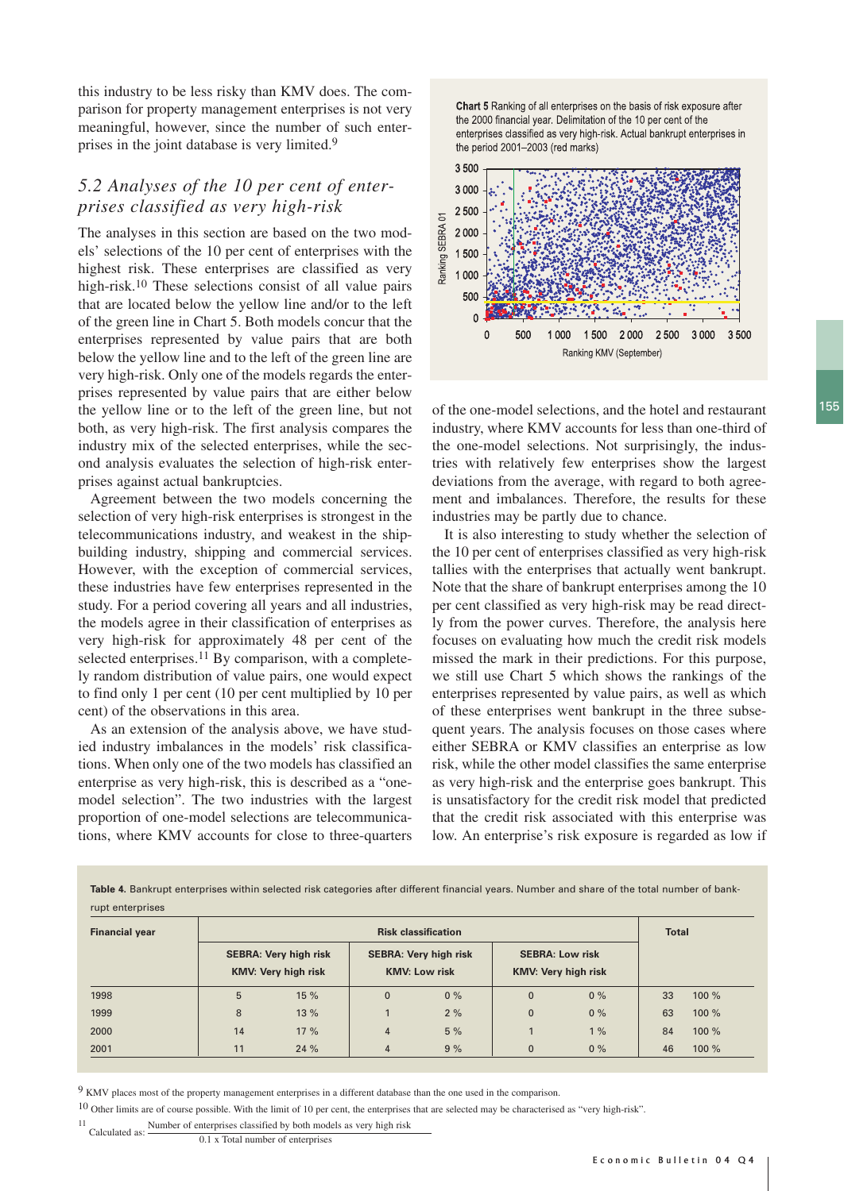this industry to be less risky than KMV does. The comparison for property management enterprises is not very meaningful, however, since the number of such enterprises in the joint database is very limited.9

# *5.2 Analyses of the 10 per cent of enterprises classified as very high-risk*

The analyses in this section are based on the two models' selections of the 10 per cent of enterprises with the highest risk. These enterprises are classified as very high-risk.<sup>10</sup> These selections consist of all value pairs that are located below the yellow line and/or to the left of the green line in Chart 5. Both models concur that the enterprises represented by value pairs that are both below the yellow line and to the left of the green line are very high-risk. Only one of the models regards the enterprises represented by value pairs that are either below the yellow line or to the left of the green line, but not both, as very high-risk. The first analysis compares the industry mix of the selected enterprises, while the second analysis evaluates the selection of high-risk enterprises against actual bankruptcies.

Agreement between the two models concerning the selection of very high-risk enterprises is strongest in the telecommunications industry, and weakest in the shipbuilding industry, shipping and commercial services. However, with the exception of commercial services, these industries have few enterprises represented in the study. For a period covering all years and all industries, the models agree in their classification of enterprises as very high-risk for approximately 48 per cent of the selected enterprises.<sup>11</sup> By comparison, with a completely random distribution of value pairs, one would expect to find only 1 per cent (10 per cent multiplied by 10 per cent) of the observations in this area.

As an extension of the analysis above, we have studied industry imbalances in the models' risk classifications. When only one of the two models has classified an enterprise as very high-risk, this is described as a "onemodel selection". The two industries with the largest proportion of one-model selections are telecommunications, where KMV accounts for close to three-quarters

Chart 5 Ranking of all enterprises on the basis of risk exposure after the 2000 financial year. Delimitation of the 10 per cent of the enterprises classified as very high-risk. Actual bankrupt enterprises in the period 2001-2003 (red marks)



of the one-model selections, and the hotel and restaurant industry, where KMV accounts for less than one-third of the one-model selections. Not surprisingly, the industries with relatively few enterprises show the largest deviations from the average, with regard to both agreement and imbalances. Therefore, the results for these industries may be partly due to chance.

It is also interesting to study whether the selection of the 10 per cent of enterprises classified as very high-risk tallies with the enterprises that actually went bankrupt. Note that the share of bankrupt enterprises among the 10 per cent classified as very high-risk may be read directly from the power curves. Therefore, the analysis here focuses on evaluating how much the credit risk models missed the mark in their predictions. For this purpose, we still use Chart 5 which shows the rankings of the enterprises represented by value pairs, as well as which of these enterprises went bankrupt in the three subsequent years. The analysis focuses on those cases where either SEBRA or KMV classifies an enterprise as low risk, while the other model classifies the same enterprise as very high-risk and the enterprise goes bankrupt. This is unsatisfactory for the credit risk model that predicted that the credit risk associated with this enterprise was low. An enterprise's risk exposure is regarded as low if

**Table 4.** Bankrupt enterprises within selected risk categories after different financial years. Number and share of the total number of bankrupt enterprises

| <b>Financial year</b> | <b>Risk classification</b> |                                                            |                |                                                      | <b>Total</b>                                         |    |    |          |
|-----------------------|----------------------------|------------------------------------------------------------|----------------|------------------------------------------------------|------------------------------------------------------|----|----|----------|
|                       |                            | <b>SEBRA: Very high risk</b><br><b>KMV: Very high risk</b> |                | <b>SEBRA: Very high risk</b><br><b>KMV: Low risk</b> | <b>SEBRA: Low risk</b><br><b>KMV: Very high risk</b> |    |    |          |
| 1998                  | 5                          | 15 %                                                       | $\mathbf 0$    | $0\%$                                                | $\mathbf{0}$                                         | 0% | 33 | $100 \%$ |
| 1999                  | 8                          | 13 %                                                       |                | 2%                                                   | $\Omega$                                             | 0% | 63 | 100 %    |
| 2000                  | 14                         | 17%                                                        | $\overline{4}$ | 5%                                                   |                                                      | 1% | 84 | 100 %    |
| 2001                  | 11                         | 24 %                                                       | $\overline{4}$ | 9%                                                   | $\Omega$                                             | 0% | 46 | 100 %    |

<sup>9</sup> KMV places most of the property management enterprises in a different database than the one used in the comparison.

10 Other limits are of course possible. With the limit of 10 per cent, the enterprises that are selected may be characterised as "very high-risk".

<sup>11</sup> Calculated as: Number of enterprises classified by both models as very high risk

<sup>0.1</sup> x Total number of enterprises